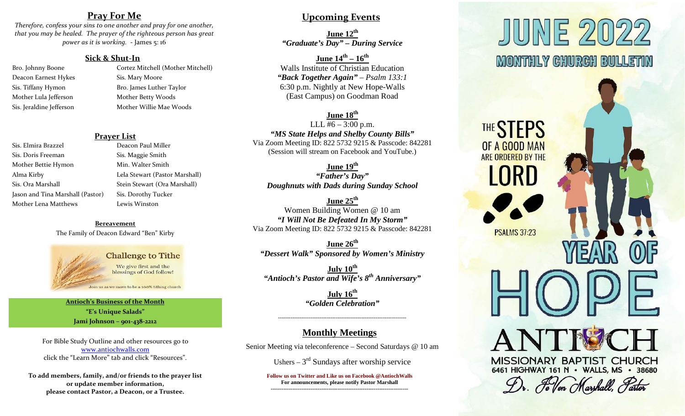## **Pray For Me**

*Therefore, confess your sins to one another and pray for one another, that you may be healed. The prayer of the righteous person has great power as it is working.* - James 5: 16

## **Sick & Shut-In**

- Deacon Earnest Hykes Sis. Mary Moore Mother Lula Jefferson Mother Betty Woods
- Bro. Johnny Boone Cortez Mitchell (Mother Mitchell) Sis. Tiffany Hymon Bro. James Luther Taylor Sis. Jeraldine Jefferson Mother Willie Mae Woods

### **Prayer List**

- Sis. Elmira Brazzel **Deacon Paul Miller** Sis. Doris Freeman Sis. Maggie Smith Mother Bettie Hymon Min. Walter Smith Jason and Tina Marshall (Pastor) Sis. Dorothy Tucker Mother Lena Matthews Lewis Winston
- Alma Kirby Lela Stewart (Pastor Marshall) Sis. Ora Marshall Sis. Ora Marshall Stein Stewart (Ora Marshall)

**Bereavement** The Family of Deacon Edward "Ben" Kirby

## **Challenge to Tithe** We give first and the blessings of God follow!

#### oin us as we move to be a 100% tithing church

**Antioch's Business of the Month "E's Unique Salads" Jami Johnson – 901-438-2212**

For Bible Study Outline and other resources go to [www.antiochwalls.com](http://www.antiochwalls.com/) click the "Learn More" tab and click "Resources".

**To add members, family, and/or friends to the prayer list or update member information, please contact Pastor, a Deacon, or a Trustee.**

## **Upcoming Events**

**June 12th** *"Graduate's Day" – During Service*

**June 14th – 16th** Walls Institute of Christian Education *"Back Together Again" – Psalm 133:1* 6:30 p.m. Nightly at New Hope-Walls (East Campus) on Goodman Road

## **June 18th**

LLL  $\frac{46 - 3:00}{1}$  p.m. *"MS State Helps and Shelby County Bills"* Via Zoom Meeting ID: 822 5732 9215 & Passcode: 842281 (Session will stream on Facebook and YouTube.)

## **June 19th**

*"Father's Day" Doughnuts with Dads during Sunday School*

**June 25th** Women Building Women @ 10 am *"I Will Not Be Defeated In My Storm"* Via Zoom Meeting ID: 822 5732 9215 & Passcode: 842281

**June 26th** *"Dessert Walk" Sponsored by Women's Ministry*

**July 10th** *"Antioch's Pastor and Wife's 8th Anniversary"*

> **July** 16<sup>th</sup> *"Golden Celebration"*

-----------------------------------------------------------------------

## **Monthly Meetings**

Senior Meeting via teleconference – Second Saturdays @ 10 am

Ushers  $-3<sup>rd</sup>$  Sundays after worship service

**Follow us on Twitter and Like us on Facebook @AntiochWalls For announcements, please notify Pastor Marshall ----------------------------------------------------------------------------**

# JUNE 202 **MONTHLY CHURCH BULLETIN**

MISSIONARY BAPTIST CHURCH 6461 HIGHWAY 161 N · WALLS, MS · 38680

Dr. Fe Von Marshall, Pastor

THE STEPS

OF A GOOD MAN ARE ORDERED BY THE

MRD

**PSALMS 37:23**